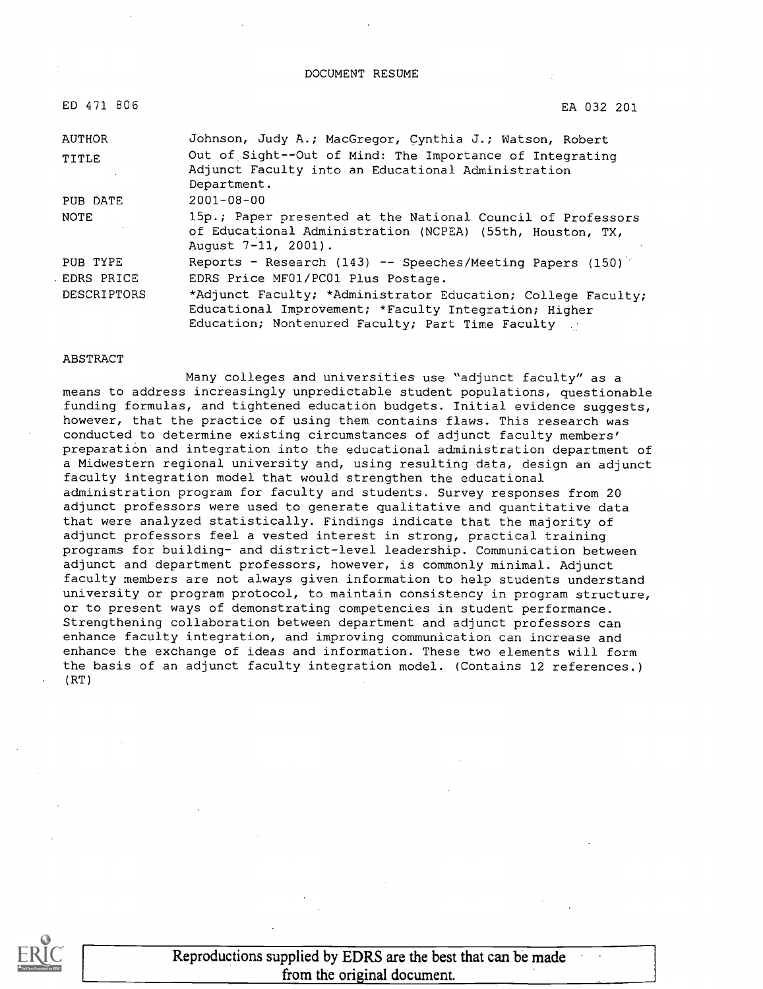DOCUMENT RESUME

| ED 471 806  | EA 032 201                                                                                                                                                                |
|-------------|---------------------------------------------------------------------------------------------------------------------------------------------------------------------------|
| AUTHOR      | Johnson, Judy A.; MacGregor, Cynthia J.; Watson, Robert                                                                                                                   |
| TITLE       | Out of Sight--Out of Mind: The Importance of Integrating<br>Adjunct Faculty into an Educational Administration<br>Department.                                             |
| PUB DATE    | $2001 - 08 - 00$                                                                                                                                                          |
| NOTE        | 15p.; Paper presented at the National Council of Professors<br>of Educational Administration (NCPEA) (55th, Houston, TX,<br>August 7-11, 2001).                           |
| PUB TYPE    | Reports - Research (143) -- Speeches/Meeting Papers (150)                                                                                                                 |
| EDRS PRICE  | EDRS Price MF01/PC01 Plus Postage.                                                                                                                                        |
| DESCRIPTORS | *Adjunct Faculty; *Administrator Education; College Faculty;<br>Educational Improvement; *Faculty Integration; Higher<br>Education; Nontenured Faculty; Part Time Faculty |

#### ABSTRACT

Many colleges and universities use "adjunct faculty" as a means to address increasingly unpredictable student populations, questionable funding formulas, and tightened education budgets. Initial evidence suggests, however, that the practice of using them contains flaws. This research was conducted to determine existing circumstances of adjunct faculty members' preparation and integration into the educational administration department of a Midwestern regional university and, using resulting data, design an adjunct faculty integration model that would strengthen the educational administration program for faculty and students. Survey responses from 20 adjunct professors were used to generate qualitative and quantitative data that were analyzed statistically. Findings indicate that the majority of adjunct professors feel a vested interest in strong, practical training programs for building- and district-level leadership. Communication between adjunct and department professors, however, is commonly minimal. Adjunct faculty members are not always given information to help students understand university or program protocol, to maintain consistency in program structure, or to present ways of demonstrating competencies in student performance. Strengthening collaboration between department and adjunct professors can enhance faculty integration, and improving communication can increase and enhance the exchange of ideas and information. These two elements will form the basis of an adjunct faculty integration model. (Contains 12 references.) (RT)



Reproductions supplied by EDRS are the best that can be made from the original document.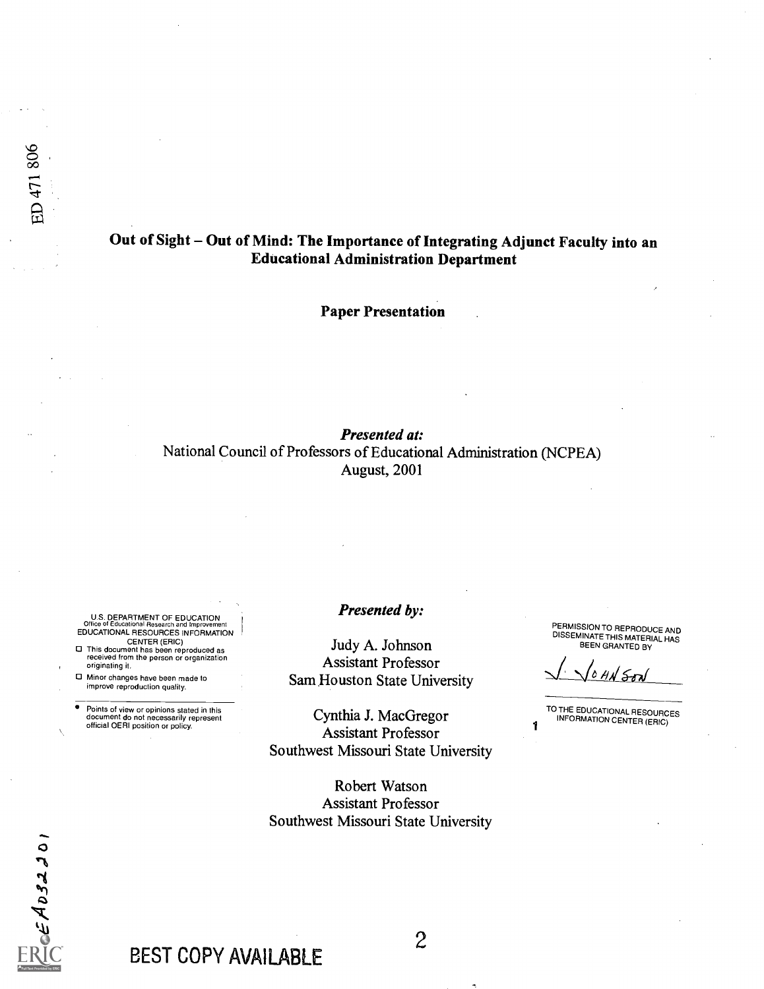## Out of Sight - Out of Mind: The Importance of Integrating Adjunct Faculty into an Educational Administration Department

Paper Presentation

## Presented at: National Council of Professors of Educational Administration (NCPEA) August, 2001

U.S. DEPARTMENT OF EDUCATION Office of Educational Research and Improvement EDUCATIONAL RESOURCES INFORMATION

CENTER (ERIC) This document has been reproduced as received from the person or organization originating it.

Minor changes have been made to improve reproduction quality.

o Points of view or opinions stated in this document do not necessarily represent official OERI position or policy.

### Presented by:

Judy A. Johnson Assistant Professor Sam Houston State University

Cynthia J. MacGregor Assistant Professor Southwest Missouri State University

Robert Watson Assistant Professor Southwest Missouri State University PERMISSION TO REPRODUCEAND DISSEMINATE THIS MATERIAL HAS BEEN GRANTED BY

TO THE EDUCATIONAL RESOURCES **1** I<sup>NFORMATION CENTER (ERIC)</sub></sup>

 $c\in A$   $032201$ 

# BEST COPY AVAILABLE

 $\mathcal{Z}$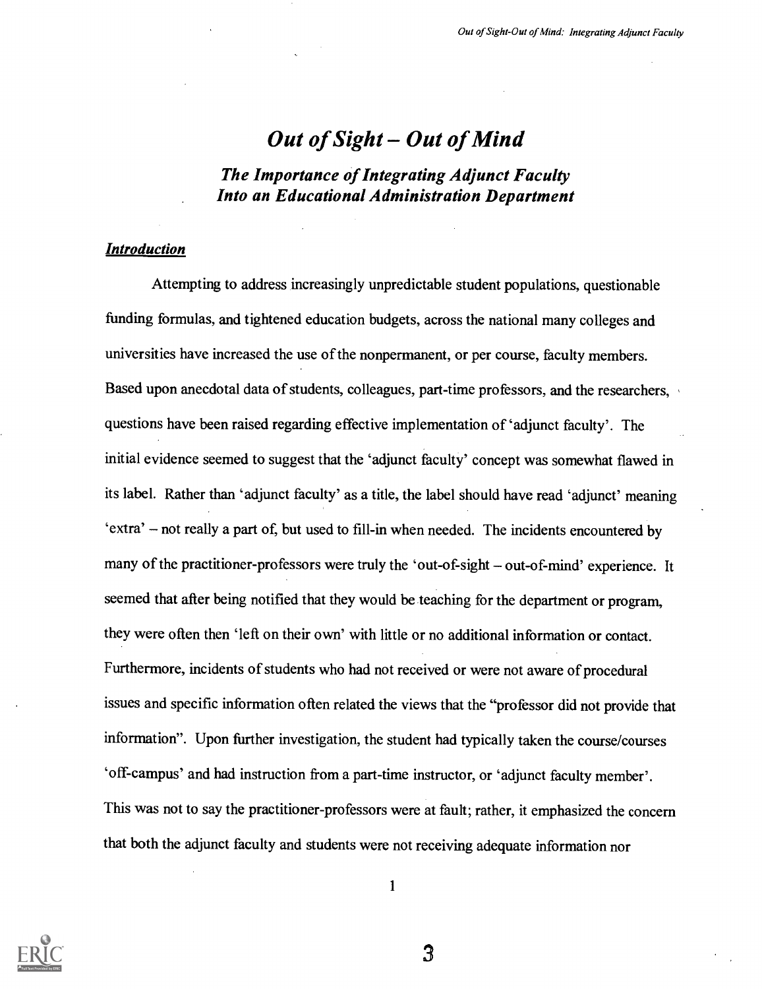## Out of Sight  $-$  Out of Mind

The Importance of Integrating Adjunct Faculty Into an Educational Administration Department

### Introduction

Attempting to address increasingly unpredictable student populations, questionable funding formulas, and tightened education budgets, across the national many colleges and universities have increased the use of the nonpermanent, or per course, faculty members. Based upon anecdotal data of students, colleagues, part-time professors, and the researchers, questions have been raised regarding effective implementation of 'adjunct faculty'. The initial evidence seemed to suggest that the 'adjunct faculty' concept was somewhat flawed in its label. Rather than 'adjunct faculty' as a title, the label should have read 'adjunct' meaning `extra' not really a part of, but used to fill-in when needed. The incidents encountered by many of the practitioner-professors were truly the 'out-of-sight – out-of-mind' experience. It seemed that after being notified that they would be teaching for the department or program, they were often then 'left on their own' with little or no additional information or contact. Furthermore, incidents of students who had not received or were not aware of procedural issues and specific information often related the views that the "professor did not provide that information". Upon further investigation, the student had typically taken the course/courses `off-campus' and had instruction from a part-time instructor, or 'adjunct faculty member'. This was not to say the practitioner-professors were at fault; rather, it emphasized the concern that both the adjunct faculty and students were not receiving adequate information nor



1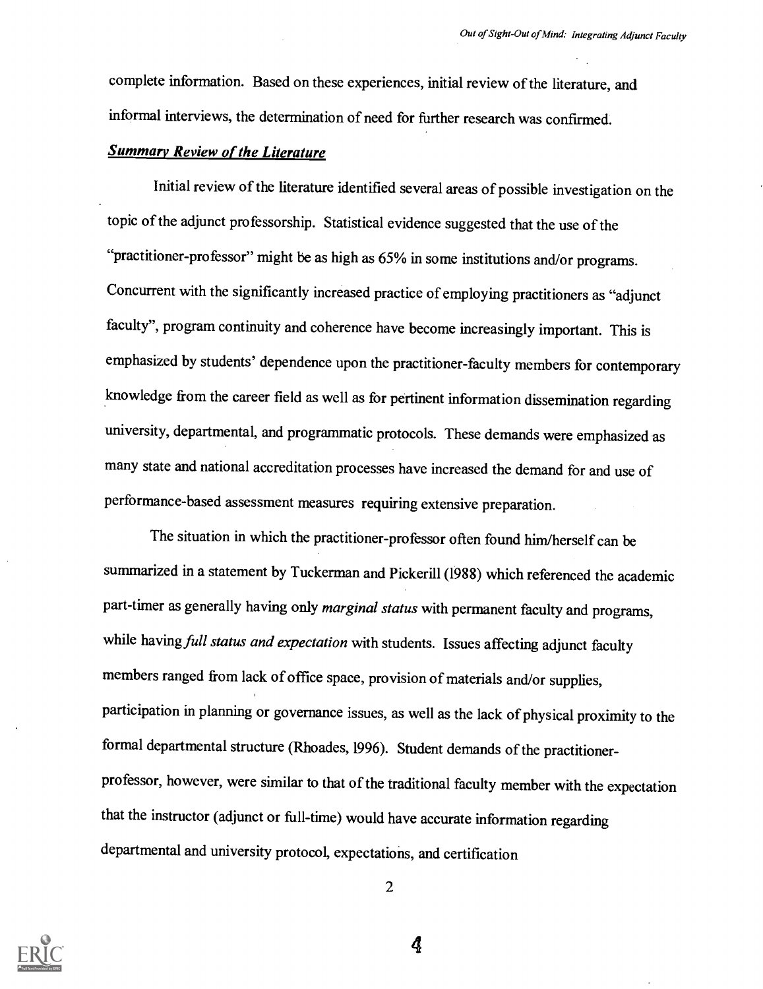complete information. Based on these experiences, initial review of the literature, and informal interviews, the determination of need for further researchwas confirmed.

## Summary Review of the Literature

Initial review of the literature identified several areas of possible investigation on the topic of the adjunct professorship. Statistical evidence suggested that the use of the "practitioner-professor" might be as high as 65% in some institutions and/or programs. Concurrent with the significantly increased practice of employing practitioners as "adjunct faculty", program continuity and coherence have become increasingly important. This is emphasized by students' dependence upon the practitioner-faculty members for contemporary knowledge from the career field as well as for pertinent information dissemination regarding university, departmental, and programmatic protocols. These demands were emphasized as many state and national accreditation processes have increased the demand for and use of performance-based assessment measures requiring extensive preparation.

The situation in which the practitioner-professor often found him/herself can be summarized in a statement by Tuckerman and Pickerill (1988) which referenced the academic part-timer as generally having only marginal status with permanent faculty and programs, while having full status and expectation with students. Issues affecting adjunct faculty members ranged from lack of office space, provision of materials and/or supplies, participation in planning or governance issues, as well as the lack of physical proximity to the formal departmental structure (Rhoades, 1996). Student demands of the practitionerprofessor, however, were similar to that of the traditional faculty member with the expectation that the instructor (adjunct or full-time) would have accurate information regarding departmental and university protocol, expectations, and certification



2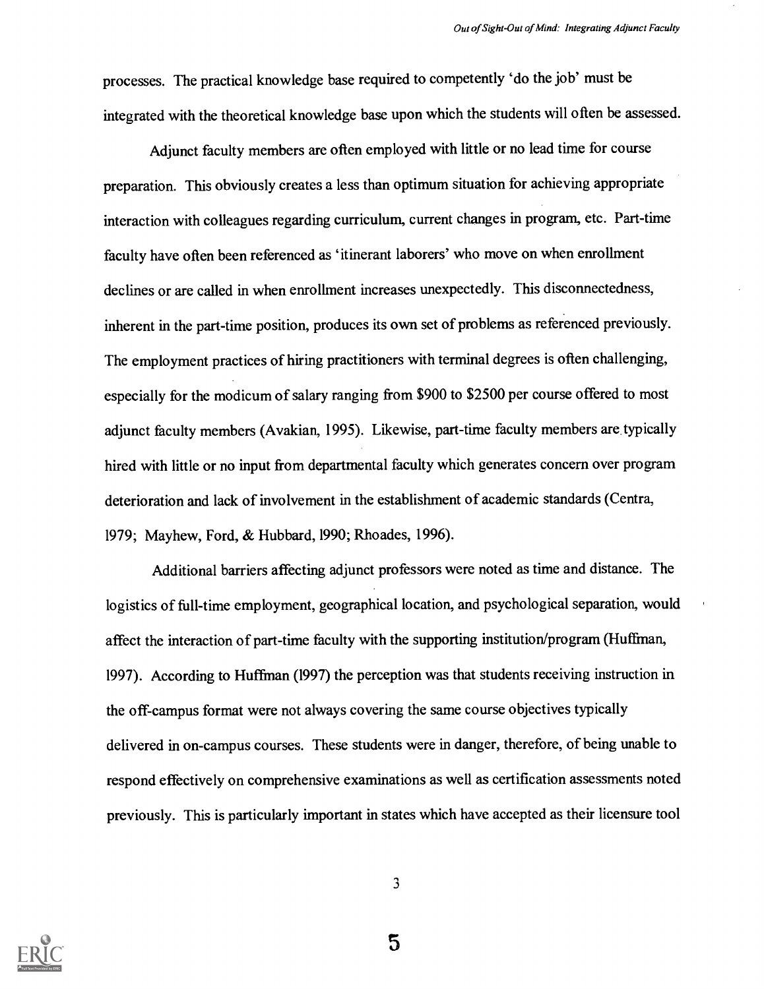processes. The practical knowledge base required to competently 'do the job' must be integrated with the theoretical knowledge base upon which the students will often be assessed.

Adjunct faculty members are often employed with little or no lead time for course preparation. This obviously creates a less than optimum situation for achieving appropriate interaction with colleagues regarding curriculum, current changes in program, etc. Part-time faculty have often been referenced as 'itinerant laborers' who move on when enrollment declines or are called in when enrollment increases unexpectedly. This disconnectedness, inherent in the part-time position, produces its own set of problems as referenced previously. The employment practices of hiring practitioners with terminal degrees is often challenging, especially for the modicum of salary ranging from \$900 to \$2500 per course offered to most adjunct faculty members (Avakian, 1995). Likewise, part-time faculty members are typically hired with little or no input from departmental faculty which generates concern over program deterioration and lack of involvement in the establishment of academic standards (Centra, 1979; Mayhew, Ford, & Hubbard, 1990; Rhoades, 1996).

Additional barriers affecting adjunct professors were noted as time and distance. The logistics of full-time employment, geographical location, and psychological separation, would affect the interaction of part-time faculty with the supporting institution/program (Huffman, 1997). According to Huffinan (1997) the perception was that students receiving instruction in the off-campus format were not always covering the same course objectives typically delivered in on-campus courses. These students were in danger, therefore, of being unable to respond effectively on comprehensive examinations as well as certification assessments noted previously. This is particularly important in states which have accepted as their licensure tool



3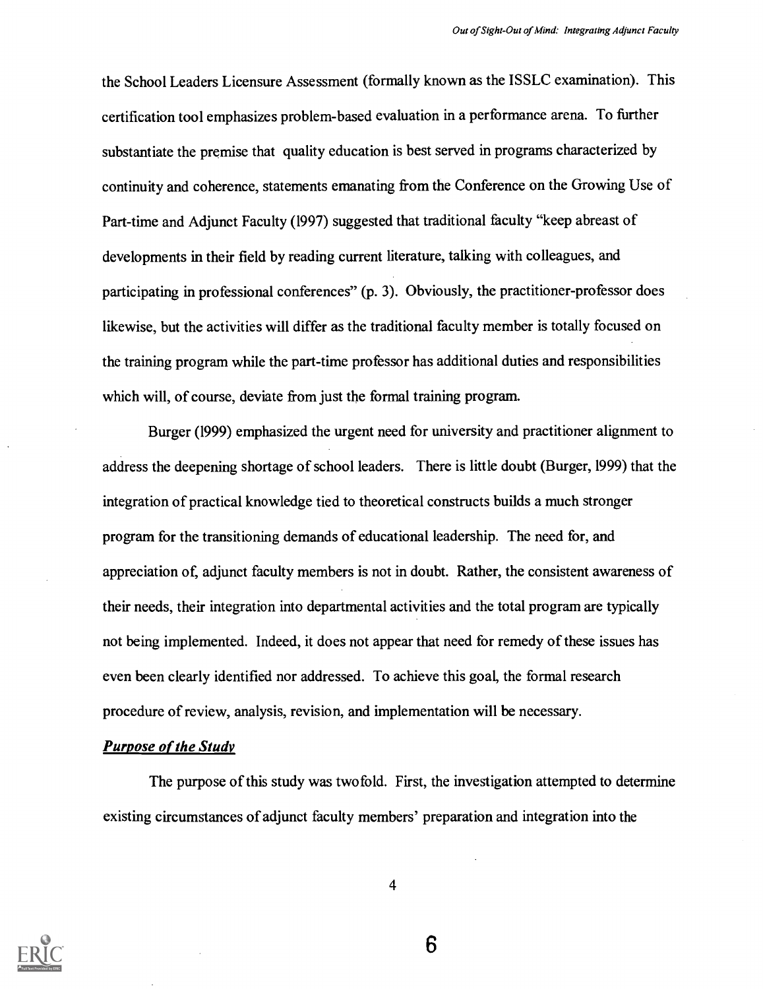the School Leaders Licensure Assessment (formally known as the ISSLC examination). This certification tool emphasizes problem-based evaluation in a performance arena. To further substantiate the premise that quality education is best served in programs characterized by continuity and coherence, statements emanating from the Conference on the Growing Use of Part-time and Adjunct Faculty (1997) suggested that traditional faculty "keep abreast of developments in their field by reading current literature, talking with colleagues, and participating in professional conferences" (p. 3). Obviously, the practitioner-professor does likewise, but the activities will differ as the traditional faculty member is totally focused on the training program while the part-time professor has additional duties and responsibilities which will, of course, deviate from just the formal training program.

Burger (1999) emphasized the urgent need for university and practitioner alignment to address the deepening shortage of school leaders. There is little doubt (Burger, 1999) that the integration of practical knowledge tied to theoretical constructs builds a much stronger program for the transitioning demands of educational leadership. The need for, and appreciation of, adjunct faculty members is not in doubt. Rather, the consistent awareness of their needs, their integration into departmental activities and the total program are typically not being implemented. Indeed, it does not appear that need for remedy of these issues has even been clearly identified nor addressed. To achieve this goal, the formal research procedure of review, analysis, revision, and implementation will be necessary.

#### Purpose of the Study

The purpose of this study was twofold. First, the investigation attempted to determine existing circumstances of adjunct faculty members' preparation and integration into the



4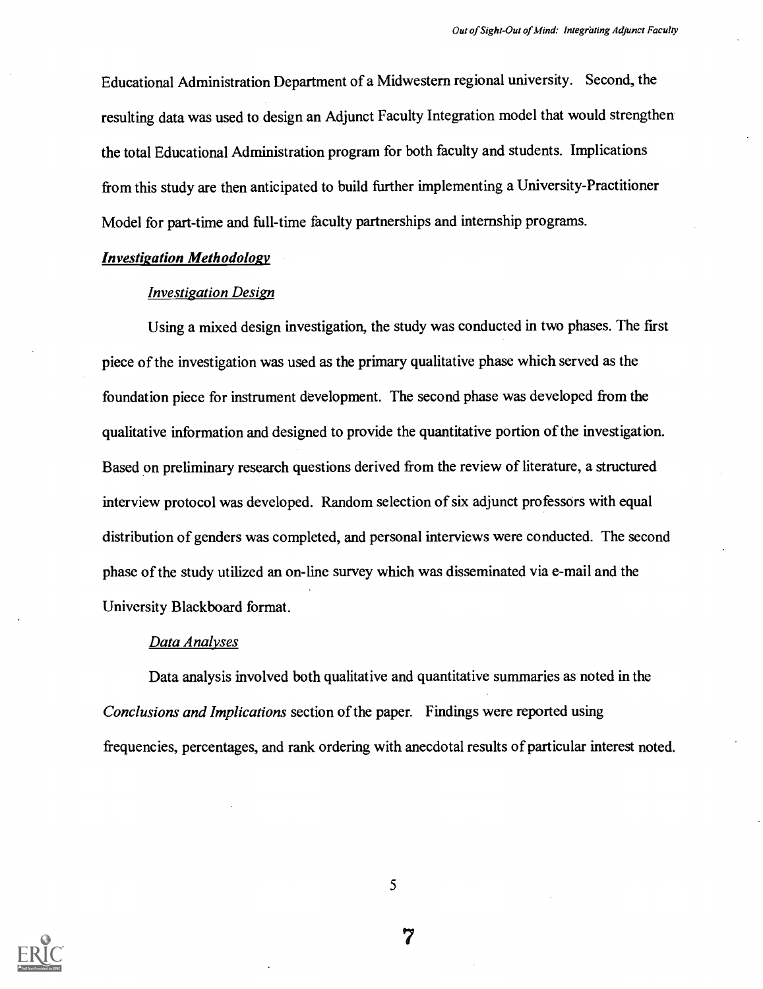Educational Administration Department of a Midwestern regional university. Second, the resulting data was used to design an Adjunct Faculty Integration model that would strengthen the total Educational Administration program for both faculty and students. Implications from this study are then anticipated to build further implementing a University-Practitioner Model for part-time and full-time faculty partnerships and internship programs.

#### Investigation Methodology

#### Investigation Design

Using a mixed design investigation, the study was conducted in two phases. The first piece of the investigation was used as the primary qualitative phase which served as the foundation piece for instrument development. The second phase was developed from the qualitative information and designed to provide the quantitative portion of the investigation. Based on preliminary research questions derived from the review of literature, a structured interview protocol was developed. Random selection of six adjunct professors with equal distribution of genders was completed, and personal interviews were conducted. The second phase of the study utilized an on-line survey which was disseminated via e-mail and the University Blackboard format.

### Data Analyses

Data analysis involved both qualitative and quantitative summaries as noted in the Conclusions and Implications section of the paper. Findings were reported using frequencies, percentages, and rank ordering with anecdotal results of particular interest noted.



5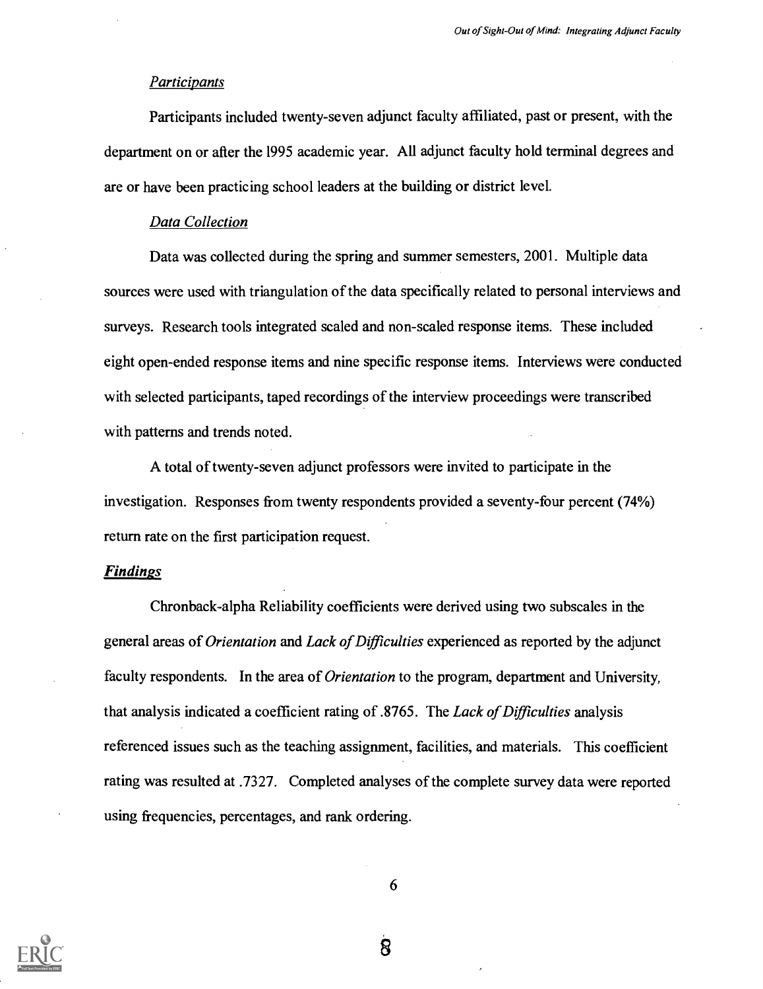#### **Participants**

Participants included twenty-seven adjunct faculty affiliated, past or present, with the department on or after the 1995 academic year. All adjunct faculty hold terminal degrees and are or have been practicing school leaders at the building or district level.

#### Data Collection

Data was collected during the spring and summer semesters, 2001. Multiple data sources were used with triangulation of the data specifically related to personal interviews and surveys. Research tools integrated scaled and non-scaled response items. These included eight open-ended response items and nine specific response items. Interviews were conducted with selected participants, taped recordings of the interview proceedings were transcribed with patterns and trends noted.

A total of twenty-seven adjunct professors were invited to participate in the investigation. Responses from twenty respondents provided a seventy-four percent (74%) return rate on the first participation request.

#### **Findings**

Chronback-alpha Reliability coefficients were derived using two subscales in the general areas of Orientation and Lack of Difficulties experienced as reported by the adjunct faculty respondents. In the area of *Orientation* to the program, department and University, that analysis indicated a coefficient rating of .8765. The Lack of Difficulties analysis referenced issues such as the teaching assignment, facilities, and materials. This coefficient rating was resulted at .7327. Completed analyses of the complete survey data were reported using frequencies, percentages, and rank ordering.

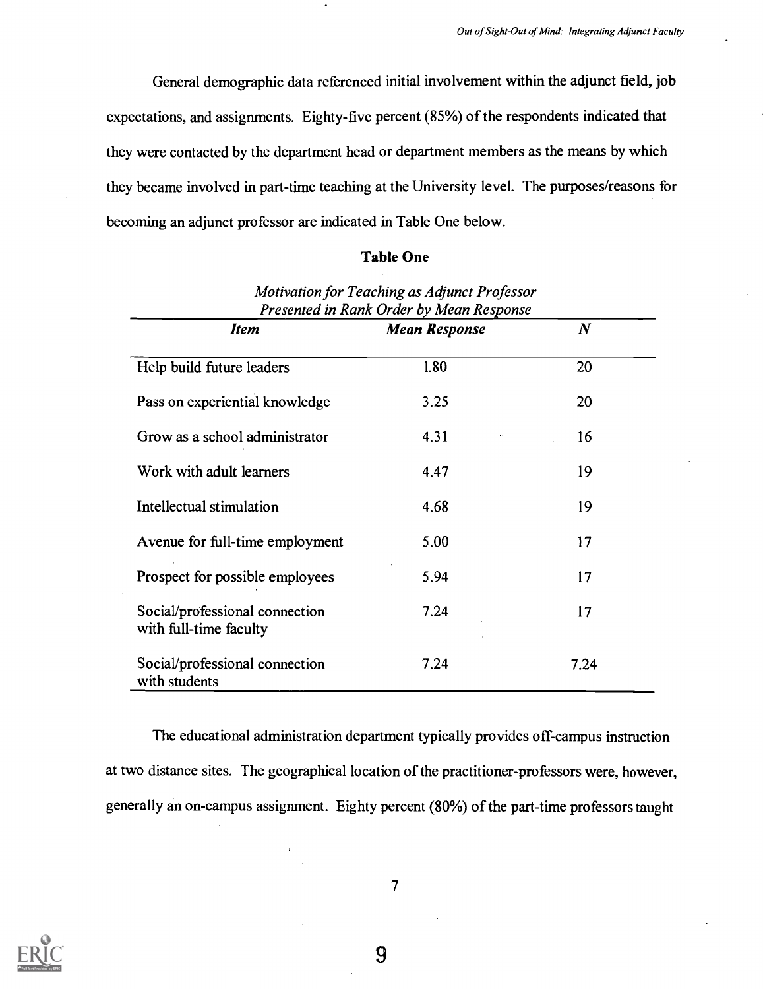General demographic data referenced initial involvement within the adjunct field, job expectations, and assignments. Eighty-five percent (85%) of the respondents indicated that they were contacted by the department head or department members as the means by which they became involved in part-time teaching at the University level. The purposes/reasons for becoming an adjunct professor are indicated in Table One below.

## Table One

| Presented in Rank Order by Mean Response                 |                      |          |  |  |  |
|----------------------------------------------------------|----------------------|----------|--|--|--|
| <b>Item</b>                                              | <b>Mean Response</b> | $\bm{N}$ |  |  |  |
| Help build future leaders                                | 1.80                 | 20       |  |  |  |
| Pass on experiential knowledge                           | 3.25                 | 20       |  |  |  |
| Grow as a school administrator                           | 4.31                 | 16       |  |  |  |
| Work with adult learners                                 | 4.47                 | 19       |  |  |  |
| Intellectual stimulation                                 | 4.68                 | 19       |  |  |  |
| Avenue for full-time employment                          | 5.00                 | 17       |  |  |  |
| Prospect for possible employees                          | 5.94                 | 17       |  |  |  |
| Social/professional connection<br>with full-time faculty | 7.24                 | 17       |  |  |  |
| Social/professional connection<br>with students          | 7.24                 | 7.24     |  |  |  |

Motivation for Teaching as Adjunct Professor

The educational administration department typically provides off-campus instruction at two distance sites. The geographical location of the practitioner-professors were, however, generally an on-campus assignment. Eighty percent (80%) of the part-time professors taught



7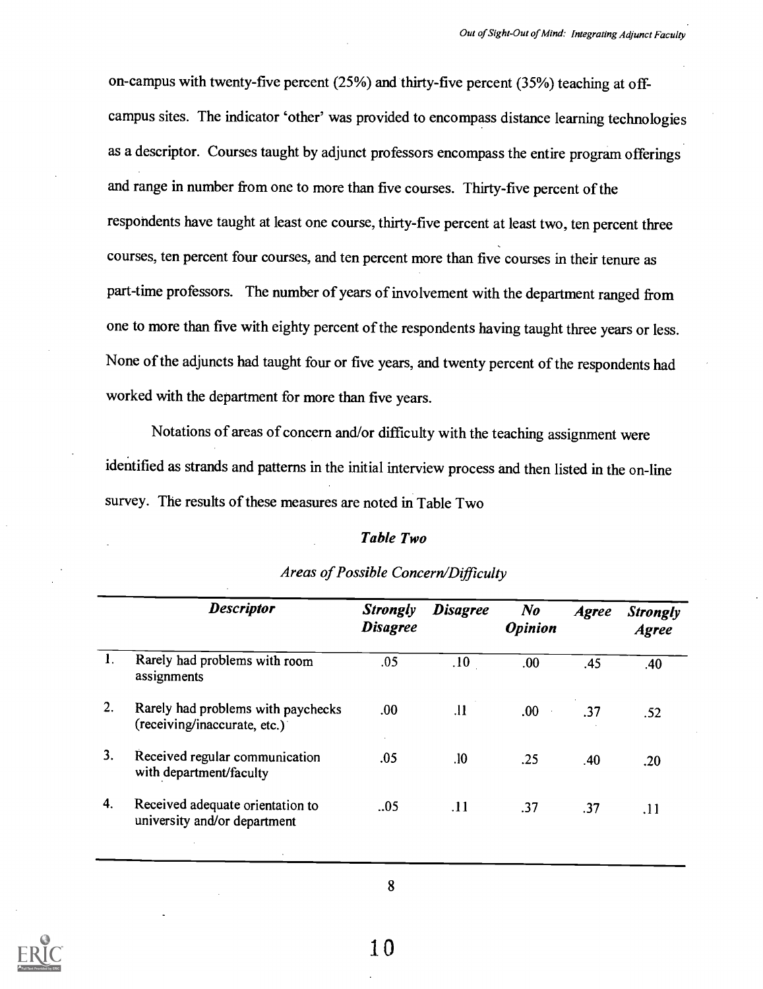on-campus with twenty-five percent (25%) and thirty-five percent (35%) teaching at off campus sites. The indicator 'other' was provided to encompass distance learning technologies as a descriptor. Courses taught by adjunct professors encompass the entire program offerings and range in number from one to more than five courses. Thirty-five percent of the respondents have taught at least one course, thirty-five percent at least two, ten percent three courses, ten percent four courses, and ten percent more than five courses in their tenure as part-time professors. The number of years of involvement with the department ranged from one to more than five with eighty percent of the respondents having taught three years or less. None of the adjuncts had taught four or five years, and twenty percent of the respondents had worked with the department for more than five years.

Notations of areas of concern and/or difficulty with the teaching assignment were identified as strands and patterns in the initial interview process and then listed in the on-line survey. The results of these measures are noted in Table Two

#### Table Two

|    | <b>Descriptor</b>                                                  | <b>Strongly</b><br><b>Disagree</b> | <b>Disagree</b> | $\bm{N}$<br><b>Opinion</b> | <b>Agree</b> | <b>Strongly</b><br><b>Agree</b> |
|----|--------------------------------------------------------------------|------------------------------------|-----------------|----------------------------|--------------|---------------------------------|
| 1. | Rarely had problems with room<br>assignments                       | .05                                | .10             | .00                        | .45          | .40                             |
| 2. | Rarely had problems with paychecks<br>(receiving/inaccurate, etc.) | .00.                               | .11             | .00.<br>$\sim 100$         | .37          | .52                             |
| 3. | Received regular communication<br>with department/faculty          | .05                                | .10             | .25                        | .40          | .20                             |
| 4. | Received adequate orientation to<br>university and/or department   | .05                                | .11             | .37                        | .37          | .11                             |

## Areas of Possible Concern/Difficulty

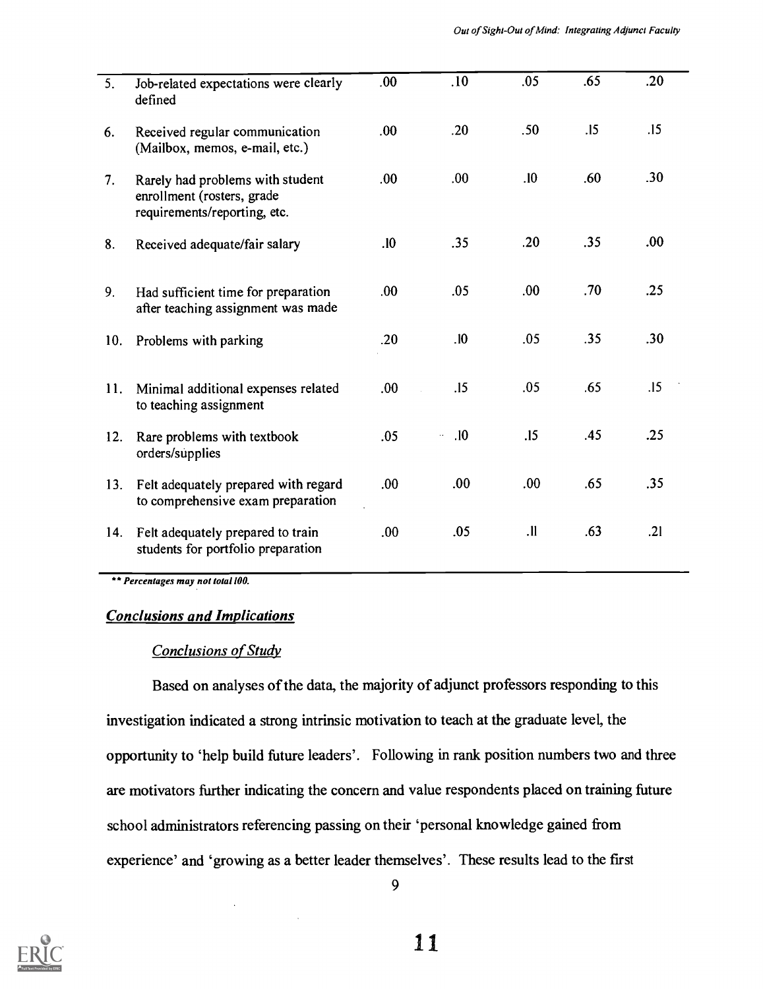| 5.  | Job-related expectations were clearly<br>defined                                               | .00  | .10              | .05        | .65 | .20  |
|-----|------------------------------------------------------------------------------------------------|------|------------------|------------|-----|------|
| 6.  | Received regular communication<br>(Mailbox, memos, e-mail, etc.)                               | .00. | .20              | .50        | .15 | .15  |
| 7.  | Rarely had problems with student<br>enrollment (rosters, grade<br>requirements/reporting, etc. | .00. | .00.             | .10        | .60 | .30  |
| 8.  | Received adequate/fair salary                                                                  | .10  | .35              | .20        | .35 | .00. |
| 9.  | Had sufficient time for preparation<br>after teaching assignment was made                      | .00. | .05              | .00.       | .70 | .25  |
| 10. | Problems with parking                                                                          | .20  | .10              | .05        | .35 | .30  |
| 11. | Minimal additional expenses related<br>to teaching assignment                                  | .00  | .15              | .05        | .65 | .15  |
| 12. | Rare problems with textbook<br>orders/supplies                                                 | .05  | .10<br>$\ddotsc$ | .15        | .45 | .25  |
| 13. | Felt adequately prepared with regard<br>to comprehensive exam preparation                      | .00. | .00.             | .00.       | .65 | .35  |
| 14. | Felt adequately prepared to train<br>students for portfolio preparation                        | .00  | .05              | $\cdot$ ll | .63 | .21  |
|     |                                                                                                |      |                  |            |     |      |

\*\* Percentages may not total 100.

## Conclusions and Implications

## Conclusions of Study

Based on analyses of the data, the majority of adjunct professors responding to this investigation indicated a strong intrinsic motivation to teach at the graduate level, the opportunity to 'help build future leaders'. Following in rank position numbers two and three are motivators further indicating the concern and value respondents placed on training future school administrators referencing passing on their 'personal knowledge gained from experience' and 'growing as a better leader themselves'. These results lead to the first

9

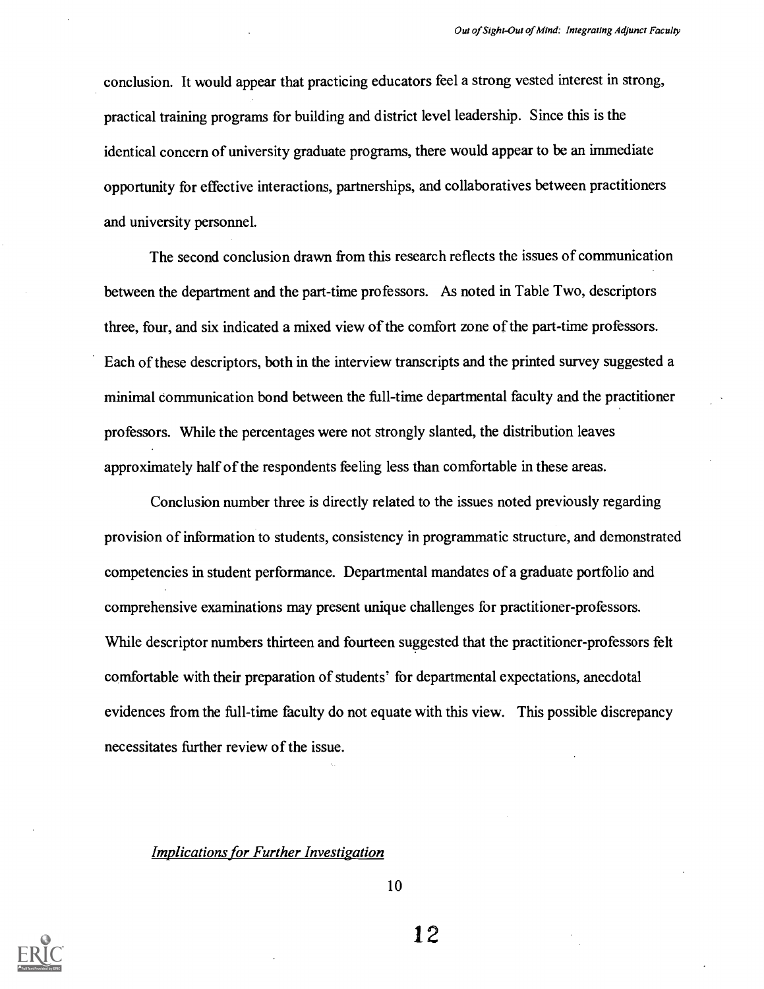conclusion. It would appear that practicing educators feel a strong vested interest in strong, practical training programs for building and district level leadership. Since this is the identical concern of university graduate programs, there would appear to be an immediate opportunity for effective interactions, partnerships, and collaboratives between practitioners and university personnel.

The second conclusion drawn from this research reflects the issues of communication between the department and the part-time professors. As noted in Table Two, descriptors three, four, and six indicated a mixed view of the comfort zone of the part-time professors. Each of these descriptors, both in the interview transcripts and the printed survey suggested a minimal communication bond between the full-time departmental faculty and the practitioner professors. While the percentages were not strongly slanted, the distribution leaves approximately half of the respondents feeling less than comfortable in these areas.

Conclusion number three is directly related to the issues noted previously regarding provision of information to students, consistency in programmatic structure, and demonstrated competencies in student performance. Departmental mandates of a graduate portfolio and comprehensive examinations may present unique challenges for practitioner-professors. While descriptor numbers thirteen and fourteen suggested that the practitioner-professors felt comfortable with their preparation of students' for departmental expectations, anecdotal evidences from the full-time faculty do not equate with this view. This possible discrepancy necessitates further review of the issue.

#### Implications for Further Investigation



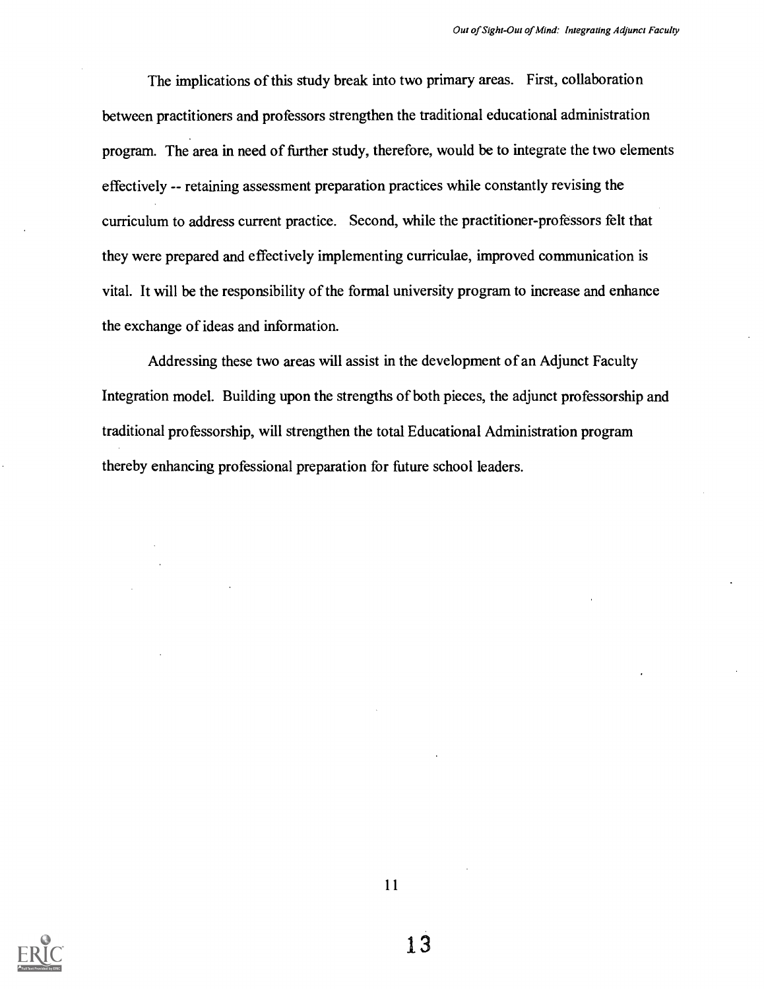The implications of this study break into two primary areas. First, collaboration between practitioners and professors strengthen the traditional educational administration program. The area in need of further study, therefore, would be to integrate the two elements effectively -- retaining assessment preparation practices while constantly revising the curriculum to address current practice. Second, while the practitioner-professors felt that they were prepared and effectively implementing curriculae, improved communication is vital. It will be the responsibility of the formal university program to increase and enhance the exchange of ideas and information.

Addressing these two areas will assist in the development of an Adjunct Faculty Integration model. Building upon the strengths of both pieces, the adjunct professorship and traditional professorship, will strengthen the total Educational Administration program thereby enhancing professional preparation for future school leaders.



11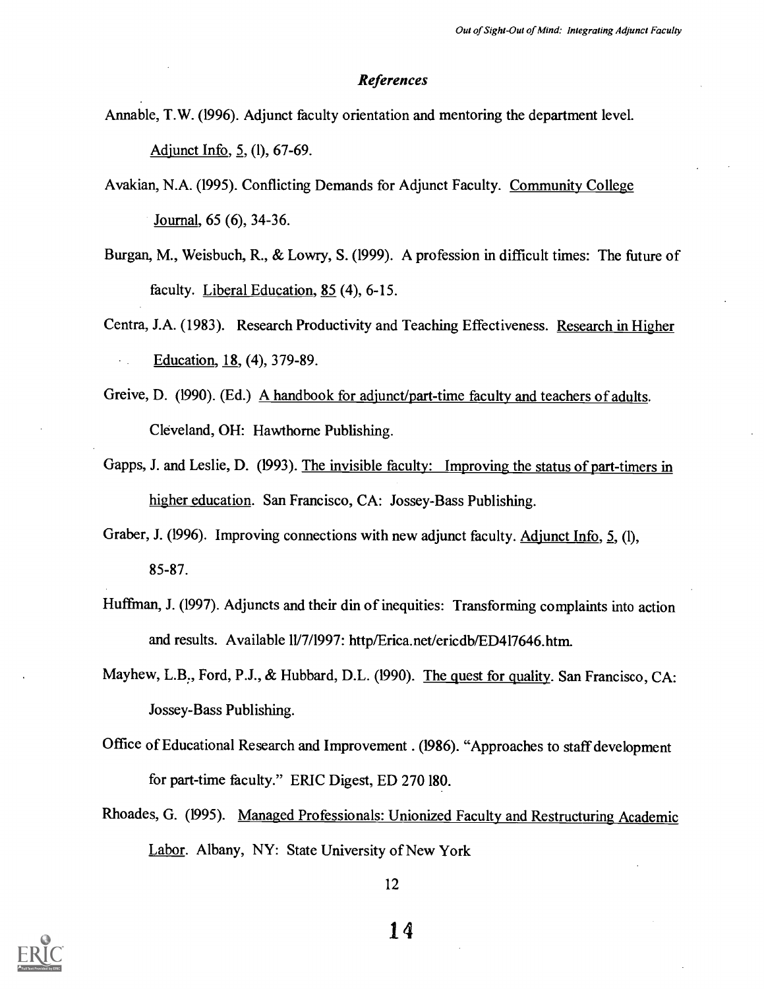#### References

Amiable, T.W. (1996). Adjunct faculty orientation and mentoring the department level.

Adjunct Info, 5, (1), 67-69.

Avakian, N.A. (1995). Conflicting Demands for Adjunct Faculty. Community College Journal, 65 (6), 34-36.

- Burgan, M., Weisbuch, R., & Lowry, S. (1999). A profession in difficult times: The future of faculty. Liberal Education, 85 (4), 6-15.
- Centra, J.A. (1983). Research Productivity and Teaching Effectiveness. Research in Higher Education, 18, (4), 379-89.
- Greive, D. (1990). (Ed.) A handbook for adjunct/part-time faculty and teachers of adults. Cleveland, OH: Hawthorne Publishing.
- Gapps, J. and Leslie, D. (1993). The invisible faculty: Improving the status of part-timers in higher education. San Francisco, CA: Jossey-Bass Publishing.
- Graber, J. (1996). Improving connections with new adjunct faculty. Adjunct Info, 5, (1), 85-87.
- Huffman, J. (1997). Adjuncts and their din of inequities: Transforming complaints into action and results. Available 11/7/1997: http/Erica.net/ericdb/ED417646.htm.
- Mayhew, L.B., Ford, P.J., & Hubbard, D.L. (1990). The quest for quality. San Francisco, CA: Jossey-Bass Publishing.
- Office of Educational Research and Improvement . (1986). "Approaches to staff development for part-time faculty." ERIC Digest, ED 270 180.
- Rhoades, G. (1995). Managed Professionals: Unionized Faculty and Restructuring Academic Labor. Albany, NY: State University of New York

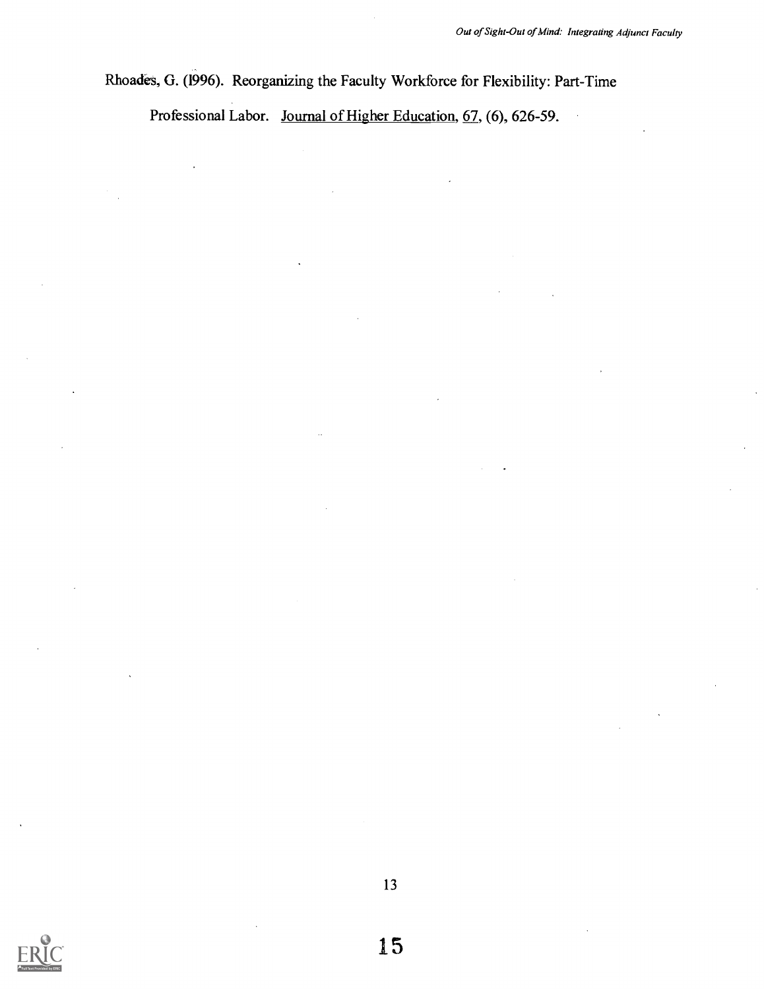Rhoades, G. (1996). Reorganizing the Faculty Workforce for Flexibility: Part-Time

Professional Labor. Journal of Higher Education, 67, (6), 626-59.



13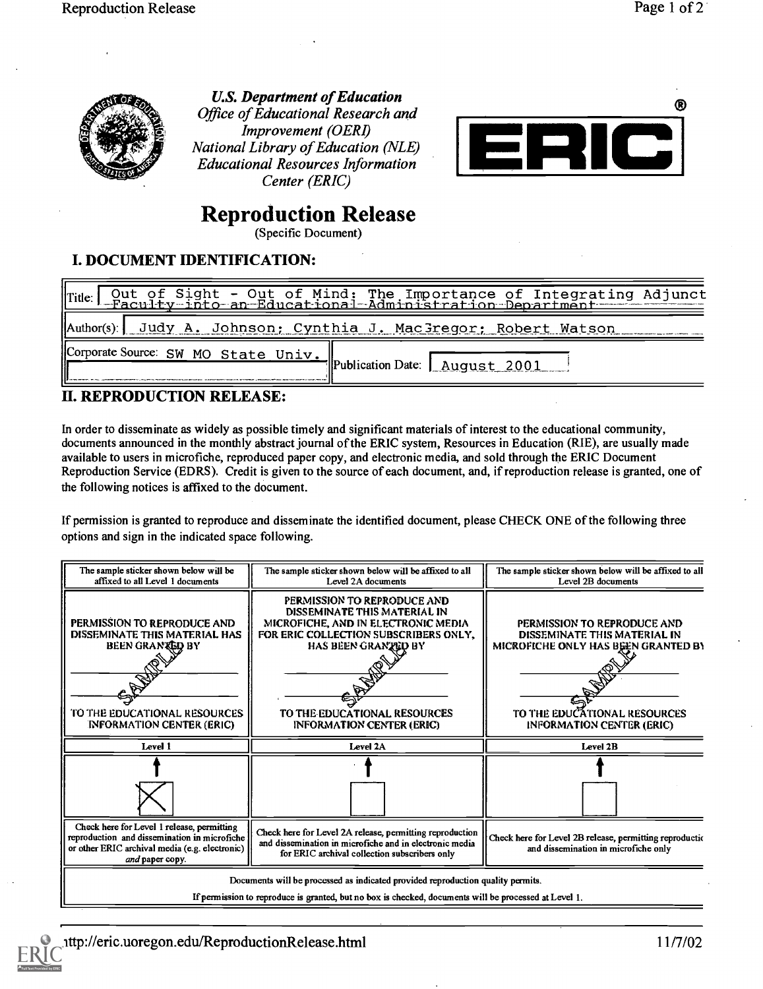

U.S. Department of Education Office of Educational Research and Improvement (OERI) National Library of Education (NLE) Educational Resources Information Center (ERIC)



# Reproduction Release

(Specific Document)

## I. DOCUMENT IDENTIFICATION:

|                                       | Title: Out of Sight - Out of Mind: The Importance of Integrating Adjunct |
|---------------------------------------|--------------------------------------------------------------------------|
|                                       | Author(s) Judy A. Johnson; Cynthia J. MacGregor; Robert Watson           |
| Corporate Source: SW MO State Univ. " | FlPublication Date: August 2001                                          |

## II. REPRODUCTION RELEASE:

In order to disseminate as widely as possible timely and significant materials of interest to the educational community, documents announced in the monthly abstract journal of the ERIC system, Resources in Education (RIE), are usually made available to users in microfiche, reproduced paper copy, and electronic media, and sold through the ERIC Document Reproduction Service (EDRS). Credit is given to the source of each document, and, if reproduction release is granted, one of the following notices is affixed to the document.

If permission is granted to reproduce and disseminate the identified document, please CHECK ONE of the following three options and sign in the indicated space following.

| The sample sticker shown below will be<br>affixed to all Level 1 documents                                                                                                               | The sample sticker shown below will be affixed to all<br>Level 2A documents                                                                                                                                                            | The sample sticker shown below will be affixed to all<br>Level 2B documents                                                                                                   |  |  |
|------------------------------------------------------------------------------------------------------------------------------------------------------------------------------------------|----------------------------------------------------------------------------------------------------------------------------------------------------------------------------------------------------------------------------------------|-------------------------------------------------------------------------------------------------------------------------------------------------------------------------------|--|--|
| PERMISSION TO REPRODUCE AND<br>DISSEMINATE THIS MATERIAL HAS<br>BEEN GRANTED BY<br>TO THE EDUCATIONAL RESOURCES<br><b>INFORMATION CENTER (ERIC)</b>                                      | PERMISSION TO REPRODUCE AND<br>DISSEMINATE THIS MATERIAL IN<br>MICROFICHE, AND IN ELECTRONIC MEDIA<br>FOR ERIC COLLECTION SUBSCRIBERS ONLY,<br>HAS BEEN GRANZED BY<br>TO THE EDUCATIONAL RESOURCES<br><b>INFORMATION CENTER (ERIC)</b> | PERMISSION TO REPRODUCE AND<br>DISSEMINATE THIS MATERIAL IN<br><b>MICROFICHE ONLY HAS BEEN GRANTED BY</b><br>TO THE EDUCATIONAL RESOURCES<br><b>INFORMATION CENTER (ERIC)</b> |  |  |
| Level 1                                                                                                                                                                                  | Level 2A                                                                                                                                                                                                                               | Level 2B                                                                                                                                                                      |  |  |
|                                                                                                                                                                                          |                                                                                                                                                                                                                                        |                                                                                                                                                                               |  |  |
| Check here for Level 1 release, permitting<br>reproduction and dissemination in microfiche<br>or other ERIC archival media (e.g. electronic)<br>and paper copy.                          | Check here for Level 2A release, permitting reproduction<br>and dissemination in microfiche and in electronic media<br>for ERIC archival collection subscribers only                                                                   | Check here for Level 2B release, permitting reproduction<br>and dissemination in microfiche only                                                                              |  |  |
| Documents will be processed as indicated provided reproduction quality permits.<br>If permission to reproduce is granted, but no box is checked, documents will be processed at Level 1. |                                                                                                                                                                                                                                        |                                                                                                                                                                               |  |  |